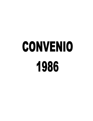## CONVENIO 1986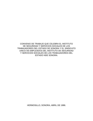CONVENIO DE TRABAJO QUE CELEBRA EL INSTITUTO DE SEGURIDAD Y SERVICIOS SOCIALES DE LOS TRABAJADORES DEL ESTADO DE SONORA Y EL SINDICATO UNICO DE EMPLEADOS DEL INSTITUTO DE SEGURIDAD Y SERVICIOS SOCIALES DE LOS TRABAJADORES DEL ESTADO NDE SONORA.

HERMOSILLO, SONORA, ABRIL DE 1986.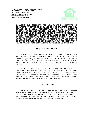**APARTADO 7I3 BLVD. HIDALGO No. 15 EDIFICIO ISSSTESON 1er. PISO HERMOSILLO, SONORA. MEXICO.**



**CONVENIO QUE CELEBRAN POR UNA PARTE EL INSTITUTO DE SEGURIDAD Y SERVICIOS SOCIALES DE LOS TRABAJADORES DEL ESTADO DE SONORA, REPRESENTADO POR EL C. DIRECTOR GENERAL, SR. JOSÉ JESÚS ROCHIN DURAZO, Y POR LA OTRA PARTE, EL SINDICATO ÚNICO DE EMPLEADOS DEL INSTITUTO DE SEGURIDAD Y SERVICIOS SOCIALES DE LOS TRABAJADORES DEL ESTADO DE SONORA, REPRESENTADO POR EL SECRETARIO GENERAL, SR. JOSÉ LOMELI ANZALDO; A QUIENES EN LO SUCESIVO Y PARA LOS EFECTOS DE ESTE INSTRUMENTO, SE LES DENOMINA COMO "EL INSTITUTO" Y "EL SINDICATO", RESPECTIVAMENTE, AL TENOR DE LO SIGUIENTE:** 

## **D E C L A R A C I O N E S:**

 I.- CON FECHA 10 DE FEBRERO DE 1986, EL SINDICATO ENTREGO AL SINDICATO UN PLIEGO CONTENIENDO LAS PETICIONES DE ORDEN LABORAL QUE REQUIEREN SUS AGREMIADOS, A FIN DE CONTINUAR CON LA PRESTACIÓN DE SUS SERVICIOS Y HACER FRENTE A SUS NECESIDADES ECONÓMICAS Y DE SERVICIOS Y DE SEGURIDAD SOCIAL.

 II.- RECIBIDO EL PLIEGO DE PETICIONES, SE INICIARON LAS PLÁTICAS PENDIENTES AL ANÁLISIS Y DISCUSIÓN DE LOS PLANTEAMIENTOS HECHOS E EL MISMO, Y, HABIÉNDOSE DESARROLLADO ESTAS EN TÉRMINOS CORDIALES, AMISTOSOS Y CON ESPÍRITU DE COLABORACIÓN Y APOYO RECIPROCO, SE LLEGO A LOS ACUERDOS QUE SE ESTIMULAN EN LAS SIGUIENTES:

## **C L A U S U L A S:**

 PRIMERA.- EL INSTITUTO CONVIENE EN CREAR EL SISTEMA ESCALAFONARIO, QUE COMPRENDE UN TABULADOR DE SUELDO, CATALOGO Y PERFIL, DE PUESTOS, LA ESTRUCTURA OCUPACIONAL Y EL SISTEMA DE EVALUACIÓN, EN UN PLAZO MÁXIMO DE CUATRO MESES, A PARTIR DE LA FIRMA DEL PRESENTE CONVENIO.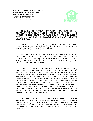

SEGUNDA.- EL INSTITUTO CUMPLIRÁ CABALMENTE CON LA CLÁUSULA QUINTA DEL CONVENIO FIRMADO CON LA FECHA 9 DE AGOSTO DE 1985, RELATIVA AL PAGO DEL 5% MÁS DEL SUELDO NORMAL, A TODOS SUS TRABAJADORES QUE TIENEN HORARIOS DISCONTINUOS.

 TERCERA.- EL INSTITUTO SE OBLIGA A PAGAR LA PRIMA VACACIONAL A SUS TRABAJADORES, PREVIAMENTE AL PERIODO EN QUE GOCEN DE SU DERECHO VACACIONAL.

 CUARTA.- EL INSTITUTO ACEPTA INCREMENTAR EN FAVOR DE SUS TRABAJADORES LOS CRÉDITOS PRENDARIOS HASTA POR LA CANTIDAD DE \$350,000.00 (TRECIENTOS CINCUENTA MIL PESOS 00/100 M.N.), E INSERTAR EN LA LISTA DE ESTE TIPO DE CRÉDITOS, EL DE REFACCIONES PARA AUTOMÓVIL.

 QUINTA.- EL INSTITUTO SE OBLIGA A OTORGAR AL SINDICATO, DOS LICENCIAS SINDICALES DE TIEMPO COMPLETO Y CON GOCE DE SUELDO, A PARTIR DE ESTA FECHA Y HASTA EL DÍA 8 DE ABRIL DE 1988, EN FAVOR DE LOS SECRETARIOS PROPIETARIOS SIGUIENTES: SECRETARIO DE TRABAJO Y CONFLICTOS Y SECRETARIO DE TESORERO DEL PROPIO SINDICATO. LOS TRABAJADORES A QUE SE REFIERE ESTA CLÁUSULA Y LA CLÁUSULA VI DEL CONVENIO DE FECHA 9 DE AGOSTO DE 1985, GOZARAN DE TODOS LOS DERECHOS Y PRERROGATIVAS INHERENTES AL PUESTO QUE DESEMPEÑABAN, TALES COMO ANTIGÜEDAD, EVALUACIÓN, COMPENSACIÓN, ETC., Y UNA VES CUMPLIDA SU LICENCIA SINDICAL SE REINTEGRARAN A SU PUESTO EN EL NIVEL Y CONDICIONES QUE EN LA FECHA CORRESPONDAN A DICHO IMPUESTO.

 SEXTA.- EL INSTITUTO ATORGARA A SUS TRABAJADORES, AYUDA PARA LA ADQUISICIÓN DE LENTES GRADUADOS EN LA ÓPTICA ISSTESON, EN LA MISMA FORMA QUE LE OTORGUEN A LOS SERVIDORES PÚBLICOS ADSCRITOS AL SINDICATO NACIONAL DE TRABAJADORES AL SERVICIO DE LOS PODERES DEL ESTADO DE SONORA.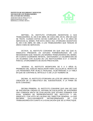**APARTADO 7I3 BLVD. HIDALGO No. 15 EDIFICIO ISSSTESON 1er. PISO HERMOSILLO, SONORA. MEXICO.**



 SEPTIMA.- EL INSTITUTO OTORGARÁ INCENTIVOS A SUS TRABAJADORES, EL DÍA 8 DE ABRIL DE CADA AÑO, EN EL AÑO EN QUE SE TRATE, CUANDO ESTOS HAYAN CUMPLIDO 20, 25, Y 30 AÑOS DE SERVICIOS AL MISMO. POR ESTA ÚNICA VEZ, OTORGARA INCENTIVOS EL DÍA 8 DE ABRIL DE 1986, A LOS TRABAJADORES QUE TENGAN 20 AÑOS O MÁS DE SERVICIOS.

 OCTAVA.- EL INSTITUTO CONVIENE EN QUE UNA VEZ QUE EL SINDICATO PRESENTE UN ESTUDIO PORMENORIZADO DE LAS NECESIDADES QUE TENGAN LAS MADRES TRABAJADORAS DEL MISMO, EN CUANTO GUARDERÍA INFANTIL, GESTIONARA LA CELEBRACIÓN DE UN ACUERDO CON ALGUNA DE LAS INSTITUCIONES D.I.F. O ISSSTE; PARA EL OTORGAMIENTO DE DICHA PRESTACIÓN.

 NOVENA.- EL INSTITUTO MODIFICARA DE 5 A 3 AÑOS EL PROMEDIO DEL SUELDO REGULADOR PARA CALCULAR EL MONTO DE LAS PENSIONES POR VEJEZ E INVALIDEZ, SUJETÁNDOSE A LA TABLA EN QUE SE CONTRAE EL ARTÍCULO 71 DE LA LEY NÚMERO 38.

 DECIMA.- EL INSTITUTO OTORGARA UN LOTE DE LIBROS PARA LA CREACIÓN DE LA BIBLIOTECA DEL SUEISSSTESON, A LA FIRMA DE ESTE CONVENIO.

 DECIMA PRIMERA.- EL INSTITUTO CONVIENE QUE UNA VEZ QUE SE ENCUENTRE CREADO EL SISTEMA DE ESCALAFÓN, SE INTEGRARÁ UNA COMISIÓN MIXTA DE EVALUACIÓN QUE ESTARÁ FORMADA POR IGUAL NÚMERO DE REPRESENTANTES DEL INSTITUTO Y DEL SINDICATO, CON VOTO DE CALIDAD DEL DIRECTOR GENERAL; LA QUE RECIBIRÁ EXCLUSIVAMENTE INCONFORMIDADES DE LOS TRABAJADORES EN CUANTO A LA EVALUACIÓN QUE SE LE PRACTIQUE.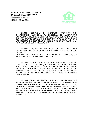**APARTADO 7I3 BLVD. HIDALGO No. 15 EDIFICIO ISSSTESON 1er. PISO HERMOSILLO, SONORA. MEXICO.**



 DECIMA SEGUNDA.- EL INSTITUTO OTORGARÁ UNA COMPENSACIÓN ADICIONAL AL PERSONAL DE LABORATORIO EXPUESTAS A MUESTRAS CONTAMINADAS, QUE CONSISTIRÁ EN UN 10% DEL SALARIO DEVENGADO. PROCURARÁ QUE SE CUMPLA CON LAS MEDIDAS DE SEGURIDAD E HIGIENE QUE CONTRIBUYAN A LA PROTECCIÓN DE SUS TRABAJADORES.

 DECIMA TERCERA.- EL INSTITUTO LIQUIDARA TODO PAGO EXTRAORDINARIO, EN LA QUINCENA INMEDIATA POSTERIOR EN QUE SE GENERE,

LA PRIMA DE ANTIGÜEDAD SE APLICARA AUTOMÁTICAMENTE, SIN NECESIDAD DE SOLICITARLO EL TRABAJADOR.

 DECIMA CUARTA.- EL INSTITUTO PROPORCIONARA UN LOCAL PARA OFICINA DEL SINDICATO, Y OTORGARA POR ÚNICA VEZ, LOS MUEBLES NECESARIOS PARA LA MISMA, ASIMISMO, ENTREGARA AL SINDICATO LA CUOTA MENSUAL POR CONCEPTO DE RENTA DE TELÉFONO. ESTA PRESTACIÓN SERÁ SATISFECHA EN UN PLAZO MÁXIMO DE UN MES CONTADO A PARTIR DE LA FIRMA DEL PRESENTE INSTRUMENTO.

 DECIMA QUINTA.- EL INSTITUTO Y EL SINDICATO ACUERDAN Y ACEPTAN REVISAR LAS CONDICIONES DE TRABAJO Y PRESTACIONES QUE OTORGUE EL INSTITUTO A LOS TRABAJADORES SINDICALIZADOS, DURANTE LA PRIMERA QUINCENA DEL MES DE MARZO DE CADA AÑO, SIN QUE EN NINGÚN CASO Y SIN NINGÚN MOTIVO PUEDA HACERSE ANTES DE ESTA FECHA, CON EL OBJETO DE DAR ESTABILIDAD Y SEGURIDAD JURÍDICA A LA RELACIÓN DE TRABAJO BUROCRÁTICO EXISTENTE.